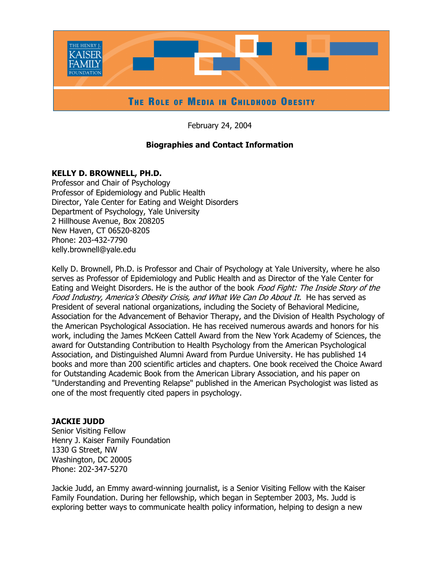

February 24, 2004

# **Biographies and Contact Information**

# **KELLY D. BROWNELL, PH.D.**

Professor and Chair of Psychology Professor of Epidemiology and Public Health Director, Yale Center for Eating and Weight Disorders Department of Psychology, Yale University 2 Hillhouse Avenue, Box 208205 New Haven, CT 06520-8205 Phone: 203-432-7790 kelly.brownell@yale.edu

Kelly D. Brownell, Ph.D. is Professor and Chair of Psychology at Yale University, where he also serves as Professor of Epidemiology and Public Health and as Director of the Yale Center for Eating and Weight Disorders. He is the author of the book Food Fight: The Inside Story of the Food Industry, America's Obesity Crisis, and What We Can Do About It. He has served as President of several national organizations, including the Society of Behavioral Medicine, Association for the Advancement of Behavior Therapy, and the Division of Health Psychology of the American Psychological Association. He has received numerous awards and honors for his work, including the James McKeen Cattell Award from the New York Academy of Sciences, the award for Outstanding Contribution to Health Psychology from the American Psychological Association, and Distinguished Alumni Award from Purdue University. He has published 14 books and more than 200 scientific articles and chapters. One book received the Choice Award for Outstanding Academic Book from the American Library Association, and his paper on "Understanding and Preventing Relapse" published in the American Psychologist was listed as one of the most frequently cited papers in psychology.

# **JACKIE JUDD**

Senior Visiting Fellow Henry J. Kaiser Family Foundation 1330 G Street, NW Washington, DC 20005 Phone: 202-347-5270

Jackie Judd, an Emmy award-winning journalist, is a Senior Visiting Fellow with the Kaiser Family Foundation. During her fellowship, which began in September 2003, Ms. Judd is exploring better ways to communicate health policy information, helping to design a new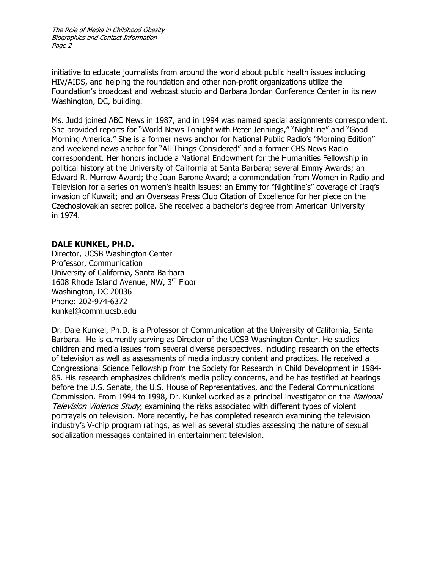initiative to educate journalists from around the world about public health issues including HIV/AIDS, and helping the foundation and other non-profit organizations utilize the Foundation's broadcast and webcast studio and Barbara Jordan Conference Center in its new Washington, DC, building.

Ms. Judd joined ABC News in 1987, and in 1994 was named special assignments correspondent. She provided reports for "World News Tonight with Peter Jennings," "Nightline" and "Good Morning America." She is a former news anchor for National Public Radio's "Morning Edition" and weekend news anchor for "All Things Considered" and a former CBS News Radio correspondent. Her honors include a National Endowment for the Humanities Fellowship in political history at the University of California at Santa Barbara; several Emmy Awards; an Edward R. Murrow Award; the Joan Barone Award; a commendation from Women in Radio and Television for a series on women's health issues; an Emmy for "Nightline's" coverage of Iraq's invasion of Kuwait; and an Overseas Press Club Citation of Excellence for her piece on the Czechoslovakian secret police. She received a bachelor's degree from American University in 1974.

## **DALE KUNKEL, PH.D.**

Director, UCSB Washington Center Professor, Communication University of California, Santa Barbara 1608 Rhode Island Avenue, NW, 3rd Floor Washington, DC 20036 Phone: 202-974-6372 kunkel@comm.ucsb.edu

Dr. Dale Kunkel, Ph.D. is a Professor of Communication at the University of California, Santa Barbara. He is currently serving as Director of the UCSB Washington Center. He studies children and media issues from several diverse perspectives, including research on the effects of television as well as assessments of media industry content and practices. He received a Congressional Science Fellowship from the Society for Research in Child Development in 1984- 85. His research emphasizes children's media policy concerns, and he has testified at hearings before the U.S. Senate, the U.S. House of Representatives, and the Federal Communications Commission. From 1994 to 1998, Dr. Kunkel worked as a principal investigator on the National Television Violence Study, examining the risks associated with different types of violent portrayals on television. More recently, he has completed research examining the television industry's V-chip program ratings, as well as several studies assessing the nature of sexual socialization messages contained in entertainment television.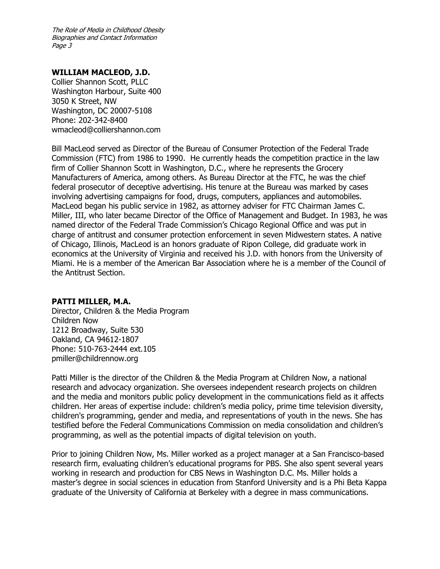## **WILLIAM MACLEOD, J.D.**

Collier Shannon Scott, PLLC Washington Harbour, Suite 400 3050 K Street, NW Washington, DC 20007-5108 Phone: 202-342-8400 wmacleod@colliershannon.com

Bill MacLeod served as Director of the Bureau of Consumer Protection of the Federal Trade Commission (FTC) from 1986 to 1990. He currently heads the competition practice in the law firm of Collier Shannon Scott in Washington, D.C., where he represents the Grocery Manufacturers of America, among others. As Bureau Director at the FTC, he was the chief federal prosecutor of deceptive advertising. His tenure at the Bureau was marked by cases involving advertising campaigns for food, drugs, computers, appliances and automobiles. MacLeod began his public service in 1982, as attorney adviser for FTC Chairman James C. Miller, III, who later became Director of the Office of Management and Budget. In 1983, he was named director of the Federal Trade Commission's Chicago Regional Office and was put in charge of antitrust and consumer protection enforcement in seven Midwestern states. A native of Chicago, Illinois, MacLeod is an honors graduate of Ripon College, did graduate work in economics at the University of Virginia and received his J.D. with honors from the University of Miami. He is a member of the American Bar Association where he is a member of the Council of the Antitrust Section.

#### **PATTI MILLER, M.A.**

Director, Children & the Media Program Children Now 1212 Broadway, Suite 530 Oakland, CA 94612-1807 Phone: 510-763-2444 ext.105 pmiller@childrennow.org

Patti Miller is the director of the Children & the Media Program at Children Now, a national research and advocacy organization. She oversees independent research projects on children and the media and monitors public policy development in the communications field as it affects children. Her areas of expertise include: children's media policy, prime time television diversity, children's programming, gender and media, and representations of youth in the news. She has testified before the Federal Communications Commission on media consolidation and children's programming, as well as the potential impacts of digital television on youth.

Prior to joining Children Now, Ms. Miller worked as a project manager at a San Francisco-based research firm, evaluating children's educational programs for PBS. She also spent several years working in research and production for CBS News in Washington D.C. Ms. Miller holds a master's degree in social sciences in education from Stanford University and is a Phi Beta Kappa graduate of the University of California at Berkeley with a degree in mass communications.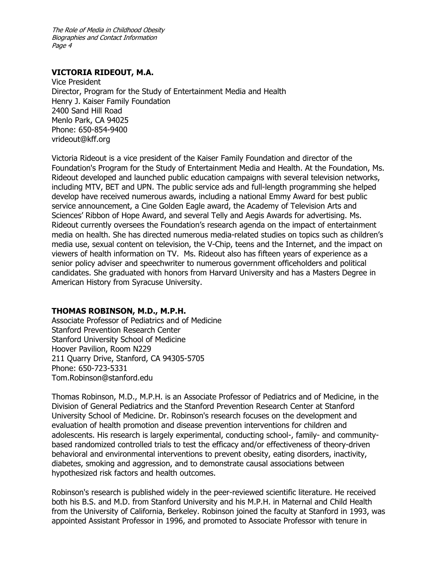### **VICTORIA RIDEOUT, M.A.**

Vice President Director, Program for the Study of Entertainment Media and Health Henry J. Kaiser Family Foundation 2400 Sand Hill Road Menlo Park, CA 94025 Phone: 650-854-9400 vrideout@kff.org

Victoria Rideout is a vice president of the Kaiser Family Foundation and director of the Foundation's Program for the Study of Entertainment Media and Health. At the Foundation, Ms. Rideout developed and launched public education campaigns with several television networks, including MTV, BET and UPN. The public service ads and full-length programming she helped develop have received numerous awards, including a national Emmy Award for best public service announcement, a Cine Golden Eagle award, the Academy of Television Arts and Sciences' Ribbon of Hope Award, and several Telly and Aegis Awards for advertising. Ms. Rideout currently oversees the Foundation's research agenda on the impact of entertainment media on health. She has directed numerous media-related studies on topics such as children's media use, sexual content on television, the V-Chip, teens and the Internet, and the impact on viewers of health information on TV. Ms. Rideout also has fifteen years of experience as a senior policy adviser and speechwriter to numerous government officeholders and political candidates. She graduated with honors from Harvard University and has a Masters Degree in American History from Syracuse University.

## **THOMAS ROBINSON, M.D., M.P.H.**

Associate Professor of Pediatrics and of Medicine Stanford Prevention Research Center Stanford University School of Medicine Hoover Pavilion, Room N229 211 Quarry Drive, Stanford, CA 94305-5705 Phone: 650-723-5331 Tom.Robinson@stanford.edu

Thomas Robinson, M.D., M.P.H. is an Associate Professor of Pediatrics and of Medicine, in the Division of General Pediatrics and the Stanford Prevention Research Center at Stanford University School of Medicine. Dr. Robinson's research focuses on the development and evaluation of health promotion and disease prevention interventions for children and adolescents. His research is largely experimental, conducting school-, family- and communitybased randomized controlled trials to test the efficacy and/or effectiveness of theory-driven behavioral and environmental interventions to prevent obesity, eating disorders, inactivity, diabetes, smoking and aggression, and to demonstrate causal associations between hypothesized risk factors and health outcomes.

Robinson's research is published widely in the peer-reviewed scientific literature. He received both his B.S. and M.D. from Stanford University and his M.P.H. in Maternal and Child Health from the University of California, Berkeley. Robinson joined the faculty at Stanford in 1993, was appointed Assistant Professor in 1996, and promoted to Associate Professor with tenure in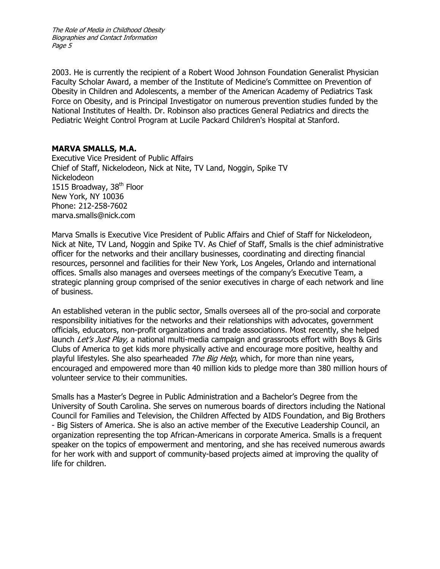2003. He is currently the recipient of a Robert Wood Johnson Foundation Generalist Physician Faculty Scholar Award, a member of the Institute of Medicine's Committee on Prevention of Obesity in Children and Adolescents, a member of the American Academy of Pediatrics Task Force on Obesity, and is Principal Investigator on numerous prevention studies funded by the National Institutes of Health. Dr. Robinson also practices General Pediatrics and directs the Pediatric Weight Control Program at Lucile Packard Children's Hospital at Stanford.

# **MARVA SMALLS, M.A.**

Executive Vice President of Public Affairs Chief of Staff, Nickelodeon, Nick at Nite, TV Land, Noggin, Spike TV Nickelodeon 1515 Broadway,  $38<sup>th</sup>$  Floor New York, NY 10036 Phone: 212-258-7602 marva.smalls@nick.com

Marva Smalls is Executive Vice President of Public Affairs and Chief of Staff for Nickelodeon, Nick at Nite, TV Land, Noggin and Spike TV. As Chief of Staff, Smalls is the chief administrative officer for the networks and their ancillary businesses, coordinating and directing financial resources, personnel and facilities for their New York, Los Angeles, Orlando and international offices. Smalls also manages and oversees meetings of the company's Executive Team, a strategic planning group comprised of the senior executives in charge of each network and line of business.

An established veteran in the public sector, Smalls oversees all of the pro-social and corporate responsibility initiatives for the networks and their relationships with advocates, government officials, educators, non-profit organizations and trade associations. Most recently, she helped launch Let's Just Play, a national multi-media campaign and grassroots effort with Boys & Girls Clubs of America to get kids more physically active and encourage more positive, healthy and playful lifestyles. She also spearheaded The Big Help, which, for more than nine years, encouraged and empowered more than 40 million kids to pledge more than 380 million hours of volunteer service to their communities.

Smalls has a Master's Degree in Public Administration and a Bachelor's Degree from the University of South Carolina. She serves on numerous boards of directors including the National Council for Families and Television, the Children Affected by AIDS Foundation, and Big Brothers - Big Sisters of America. She is also an active member of the Executive Leadership Council, an organization representing the top African-Americans in corporate America. Smalls is a frequent speaker on the topics of empowerment and mentoring, and she has received numerous awards for her work with and support of community-based projects aimed at improving the quality of life for children.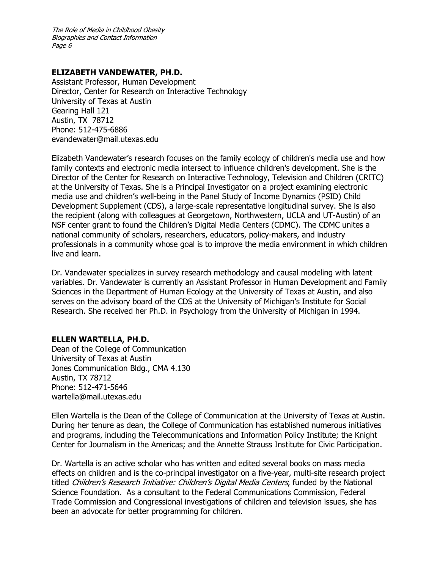### **ELIZABETH VANDEWATER, PH.D.**

Assistant Professor, Human Development Director, Center for Research on Interactive Technology University of Texas at Austin Gearing Hall 121 Austin, TX 78712 Phone: 512-475-6886 evandewater@mail.utexas.edu

Elizabeth Vandewater's research focuses on the family ecology of children's media use and how family contexts and electronic media intersect to influence children's development. She is the Director of the Center for Research on Interactive Technology, Television and Children (CRITC) at the University of Texas. She is a Principal Investigator on a project examining electronic media use and children's well-being in the Panel Study of Income Dynamics (PSID) Child Development Supplement (CDS), a large-scale representative longitudinal survey. She is also the recipient (along with colleagues at Georgetown, Northwestern, UCLA and UT-Austin) of an NSF center grant to found the Children's Digital Media Centers (CDMC). The CDMC unites a national community of scholars, researchers, educators, policy-makers, and industry professionals in a community whose goal is to improve the media environment in which children live and learn.

Dr. Vandewater specializes in survey research methodology and causal modeling with latent variables. Dr. Vandewater is currently an Assistant Professor in Human Development and Family Sciences in the Department of Human Ecology at the University of Texas at Austin, and also serves on the advisory board of the CDS at the University of Michigan's Institute for Social Research. She received her Ph.D. in Psychology from the University of Michigan in 1994.

## **ELLEN WARTELLA, PH.D.**

Dean of the College of Communication University of Texas at Austin Jones Communication Bldg., CMA 4.130 Austin, TX 78712 Phone: 512-471-5646 wartella@mail.utexas.edu

Ellen Wartella is the Dean of the College of Communication at the University of Texas at Austin. During her tenure as dean, the College of Communication has established numerous initiatives and programs, including the Telecommunications and Information Policy Institute; the Knight Center for Journalism in the Americas; and the Annette Strauss Institute for Civic Participation.

Dr. Wartella is an active scholar who has written and edited several books on mass media effects on children and is the co-principal investigator on a five-year, multi-site research project titled Children's Research Initiative: Children's Digital Media Centers, funded by the National Science Foundation. As a consultant to the Federal Communications Commission, Federal Trade Commission and Congressional investigations of children and television issues, she has been an advocate for better programming for children.